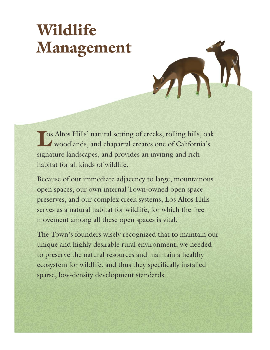# **Wildlife Management**

Le Southern Altos Hills' natural setting of creeks, rolling hills, oak woodlands, and chaparral creates one of California's woodlands, and chaparral creates one of California's signature landscapes, and provides an inviting and rich habitat for all kinds of wildlife.

Because of our immediate adjacency to large, mountainous open spaces, our own internal Town-owned open space preserves, and our complex creek systems, Los Altos Hills serves as a natural habitat for wildlife, for which the free movement among all these open spaces is vital.

The Town's founders wisely recognized that to maintain our unique and highly desirable rural environment, we needed to preserve the natural resources and maintain a healthy ecosystem for wildlife, and thus they specifically installed sparse, low-density development standards.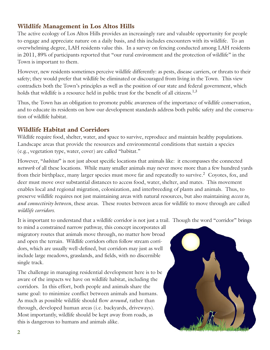# **Wildlife Management in Los Altos Hills**

The active ecology of Los Altos Hills provides an increasingly rare and valuable opportunity for people to engage and appreciate nature on a daily basis, and this includes encounters with its wildlife. To an overwhelming degree, LAH residents value this. In a survey on fencing conducted among LAH residents in 2011, 89% of participants reported that "our rural environment and the protection of wildlife" in the Town is important to them.

However, new residents sometimes perceive wildlife differently: as pests, disease carriers, or threats to their safety; they would prefer that wildlife be eliminated or discouraged from living in the Town. This view contradicts both the Town's principles as well as the position of our state and federal government, which holds that wildlife is a resource held in public trust for the benefit of all citizens.<sup>1,3</sup>

Thus, the Town has an obligation to promote public awareness of the importance of wildlife conservation, and to educate its residents on how our development standards address both public safety and the conservation of wildlife habitat.

#### **Wildlife Habitat and Corridors**

Wildlife require food, shelter, water, and space to survive, reproduce and maintain healthy populations. Landscape areas that provide the resources and environmental conditions that sustain a species (e.g., vegetation type, water, cover) are called "habitat."

However, "*habitat*" is not just about specific locations that animals like: it encompasses the connected *network* of all these locations. While many smaller animals may never move more than a few hundred yards from their birthplace, many larger species must move far and repeatedly to survive.<sup>2</sup> Coyotes, fox, and deer must move over substantial distances to access food, water, shelter, and mates. This movement enables local and regional migration, colonization, and interbreeding of plants and animals. Thus, to preserve wildlife requires not just maintaining areas with natural resources, but also maintaining *access to, and connectivity between*, these areas. These routes between areas for wildlife to move through are called *wildlife corridors*.

It is important to understand that a wildlife corridor is not just a trail. Though the word "corridor" brings

to mind a constrained narrow pathway, this concept incorporates all migratory routes that animals move through, no matter how broad and open the terrain. Wildlife corridors often follow stream corridors, which are usually well-defined, but corridors may just as well include large meadows, grasslands, and fields, with no discernible single track.

The challenge in managing residential development here is to be aware of the impacts we have on wildlife habitat, including the corridors. In this effort, both people and animals share the same goal: to minimize conflict between animals and humans. As much as possible wildlife should flow *around*, rather than through, developed human areas (i.e. backyards, driveways). Most importantly, wildlife should be kept away from roads, as this is dangerous to humans and animals alike.

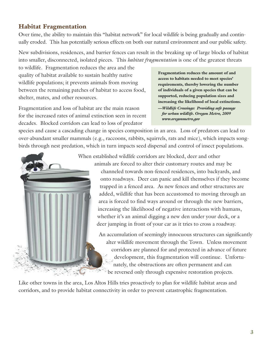# **Habitat Fragmentation**

Over time, the ability to maintain this "habitat network" for local wildlife is being gradually and continually eroded. This has potentially serious effects on both our natural environment and our public safety.

New subdivisions, residences, and barrier fences can result in the breaking up of large blocks of habitat into smaller, disconnected, isolated pieces. This *habitat fragmentation* is one of the greatest threats

to wildlife. Fragmentation reduces the area and the quality of habitat available to sustain healthy native wildlife populations; it prevents animals from moving between the remaining patches of habitat to access food, shelter, mates, and other resources.

Fragmentation and loss of habitat are the main reason for the increased rates of animal extinction seen in recent decades. Blocked corridors can lead to loss of predator

**Fragmentation reduces the amount of and access to habitats needed to meet species' requirements, thereby lowering the number of individuals of a given species that can be supported, reducing population sizes and increasing the likelihood of local extinctions.**

*—Wildlife Crossings: Providing safe passage for urban wildlife. Oregon Metro, 2009 www.oregonmetro.gov*

species and cause a cascading change in species composition in an area. Loss of predators can lead to over-abundant smaller mammals (e.g., raccoons, rabbits, squirrels, rats and mice), which impacts songbirds through nest predation, which in turn impacts seed dispersal and control of insect populations.



When established wildlife corridors are blocked, deer and other

animals are forced to alter their customary routes and may be channeled towards non-fenced residences, into backyards, and onto roadways. Deer can panic and kill themselves if they become trapped in a fenced area. As new fences and other structures are added, wildlife that has been accustomed to moving through an area is forced to find ways around or through the new barriers, increasing the likelihood of negative interactions with humans, whether it's an animal digging a new den under your deck, or a deer jumping in front of your car as it tries to cross a roadway.

An accumulation of seemingly innocuous structures can significantly alter wildlife movement through the Town. Unless movement corridors are planned for and protected in advance of future development, this fragmentation will continue. Unfortunately, the obstructions are often permanent and can be reversed only through expensive restoration projects.

Like other towns in the area, Los Altos Hills tries proactively to plan for wildlife habitat areas and corridors, and to provide habitat connectivity in order to prevent catastrophic fragmentation.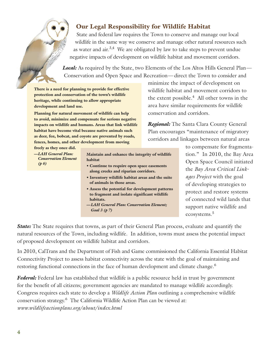# **Our Legal Responsibility for Wildlife Habitat**

State and federal law requires the Town to conserve and manage our local wildlife in the same way we conserve and manage other natural resources such as water and air.<sup>3,4</sup> We are obligated by law to take steps to prevent undue negative impacts of development on wildlife habitat and movement corridors.

**Local:** As required by the State, two Elements of the Los Altos Hills General Plan— Conservation and Open Space and Recreation—direct the Town to consider and

**There is a need for planning to provide for effective protection and conservation of the town's wildlife heritage, while continuing to allow appropriate development and land use.**

**Planning for natural movement of wildlife can help to avoid, minimize and compensate for serious negative impacts on wildlife and humans. Areas that link wildlife habitat have become vital because native animals such as deer, fox, bobcat, and coyote are prevented by roads, fences, homes, and other development from moving**

**freely as they once did.** *—LAH General Plan: Conservation Element*

*(p 6)*

**Maintain and enhance the integrity of wildlife habitat**

- **• Continue to require open space easements along creeks and riparian corridors.**
- **• Inventory wildlife habitat areas and the suite of animals in those areas.**
- **• Assess the potential for development patterns to fragment and isolate significant wildlife habitats.**
- *—LAH General Plan: Conservation Element; Goal 3 (p 7)*

minimize the impact of development on wildlife habitat and movement corridors to the extent possible. <sup>4</sup> All other towns in the area have similar requirements for wildlife conservation and corridors.

*Regional:* The Santa Clara County General Plan encourages "maintenance of migratory corridors and linkages between natural areas

> to compensate for fragmentation." In 2010, the Bay Area Open Space Council initiated the *Bay Area Critical Linkages Project* with the goal of developing strategies to protect and restore systems of connected wild lands that support native wildlife and ecosystems. 5

*State:* The State requires that towns, as part of their General Plan process, evaluate and quantify the natural resources of the Town, including wildlife. In addition, towns must assess the potential impact of proposed development on wildlife habitat and corridors.

In 2010, CalTrans and the Department of Fish and Game commissioned the California Essential Habitat Connectivity Project to assess habitat connectivity across the state with the goal of maintaining and restoring functional connections in the face of human development and climate change. 6

*Federal:* Federal law has established that wildlife is a public resource held in trust by government for the benefit of all citizens; government agencies are mandated to manage wildlife accordingly. Congress requires each state to develop a *Wildlife Action Plan* outlining a comprehensive wildlife conservation strategy. <sup>6</sup> The California Wildlife Action Plan can be viewed at: *www.wildlifeactionplans.org/about/index.html*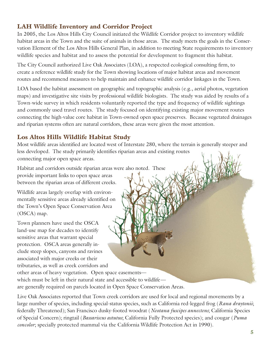# **LAH Wildlife Inventory and Corridor Project**

In 2005, the Los Altos Hills City Council initiated the Wildlife Corridor project to inventory wildlife habitat areas in the Town and the suite of animals in those areas. The study meets the goals in the Conservation Element of the Los Altos Hills General Plan, in addition to meeting State requirements to inventory wildlife species and habitat and to assess the potential for development to fragment this habitat.

The City Council authorized Live Oak Associates (LOA), a respected ecological consulting firm, to create a reference wildlife study for the Town showing locations of major habitat areas and movement routes and recommend measures to help maintain and enhance wildlife corridor linkages in the Town.

LOA based the habitat assessment on geographic and topographic analysis (e.g., aerial photos, vegetation maps) and investigative site visits by professional wildlife biologists. The study was aided by results of a Town-wide survey in which residents voluntarily reported the type and frequency of wildlife sightings and commonly used travel routes. The study focused on identifying existing major movement routes connecting the high-value core habitat in Town-owned open space preserves. Because vegetated drainages and riparian systems often are natural corridors, these areas were given the most attention.

# **Los Altos Hills Wildlife Habitat Study**

Most wildlife areas identified are located west of Interstate 280, where the terrain is generally steeper and less developed. The study primarily identifies riparian areas and existing routes connecting major open space areas.

Habitat and corridors outside riparian areas were also noted. These provide important links to open space areas

between the riparian areas of different creeks.

Wildlife areas largely overlap with environmentally sensitive areas already identified on the Town's Open Space Conservation Area (OSCA) map.

Town planners have used the OSCA land-use map for decades to identify sensitive areas that warrant special protection. OSCA areas generally include steep slopes, canyons and ravines associated with major creeks or their tributaries, as well as creek corridors and

other areas of heavy vegetation. Open space easements which must be left in their natural state and accessible to wildlife are generally required on parcels located in Open Space Conservation Areas.

Live Oak Associates reported that Town creek corridors are used for local and regional movements by a large number of species, including special-status species, such as California red-legged frog (*Rana draytonii*; federally Threatened); San Francisco dusky-footed woodrat (*Neotana fuscipes annectens*; California Species of Special Concern); ringtail (*Bassariscus astutus*; California Fully Protected species); and cougar (*Puma concolor*; specially protected mammal via the California Wildlife Protection Act in 1990).